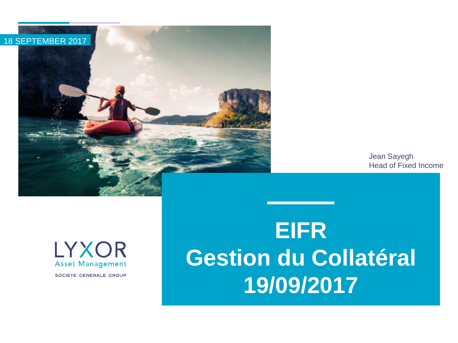

Jean Sayegh Head of Fixed Income

LYXOR **Asset Management** SOCIETE GENERALE GROUP

# **EIFR Gestion du Collatéral 19/09/2017**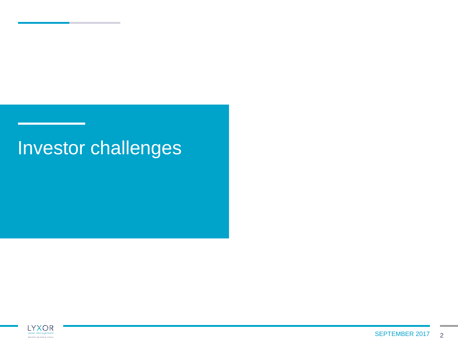## Investor challenges

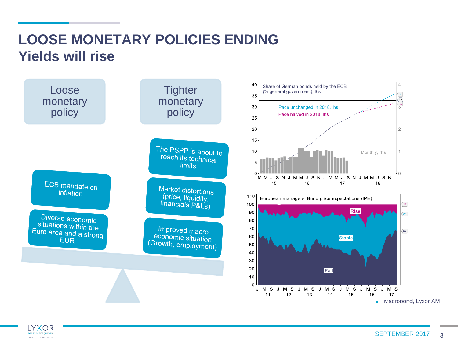### **LOOSE MONETARY POLICIES ENDING Yields will rise**

**LYXOR** Asset Manageme BOORTE OENERALE CROIN



3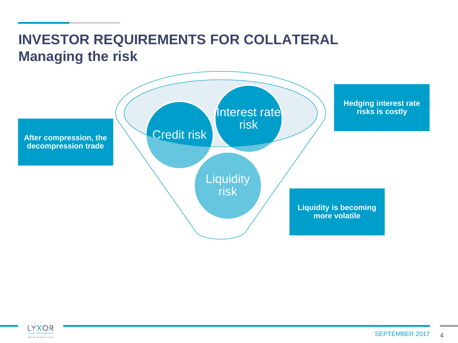### **INVESTOR REQUIREMENTS FOR COLLATERAL Managing the risk**



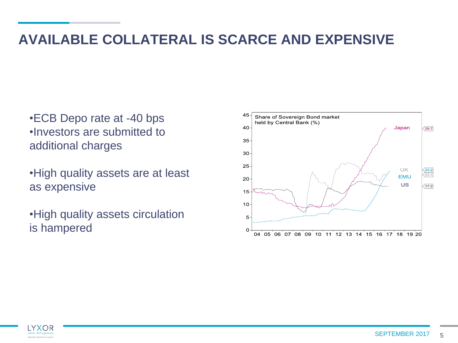#### **AVAILABLE COLLATERAL IS SCARCE AND EXPENSIVE**

- •ECB Depo rate at -40 bps •Investors are submitted to additional charges
- •High quality assets are at least as expensive
- •High quality assets circulation is hampered



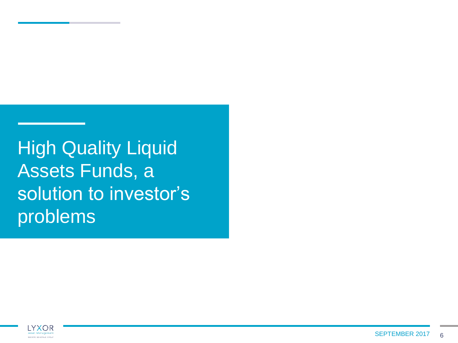High Quality Liquid Assets Funds, a solution to investor's problems

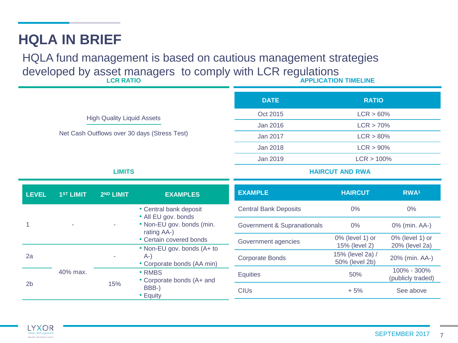#### **HQLA IN BRIEF**

**LCR RATIO** HQLA fund management is based on cautious management strategies developed by asset managers to comply with LCR regulations

|                                                                                   |                       |                       |                                                                                                   | <b>DATE</b>                  | <b>RATIO</b>                        |                                      |  |
|-----------------------------------------------------------------------------------|-----------------------|-----------------------|---------------------------------------------------------------------------------------------------|------------------------------|-------------------------------------|--------------------------------------|--|
| <b>High Quality Liquid Assets</b><br>Net Cash Outflows over 30 days (Stress Test) |                       |                       |                                                                                                   | Oct 2015                     | $LCR > 60\%$                        |                                      |  |
|                                                                                   |                       |                       |                                                                                                   | Jan 2016                     | LCR > 70%                           |                                      |  |
|                                                                                   |                       |                       |                                                                                                   | Jan 2017                     | $LCR > 80\%$                        |                                      |  |
|                                                                                   |                       |                       |                                                                                                   | <b>Jan 2018</b>              | $LCR > 90\%$                        |                                      |  |
|                                                                                   |                       |                       |                                                                                                   | Jan 2019                     | LCR > 100%                          |                                      |  |
| <b>LIMITS</b>                                                                     |                       |                       |                                                                                                   | <b>HAIRCUT AND RWA</b>       |                                     |                                      |  |
|                                                                                   |                       |                       |                                                                                                   |                              |                                     |                                      |  |
| <b>LEVEL</b>                                                                      | 1 <sup>ST</sup> LIMIT | 2 <sup>ND</sup> LIMIT | <b>EXAMPLES</b>                                                                                   | <b>EXAMPLE</b>               | <b>HAIRCUT</b>                      | RWA <sup>1</sup>                     |  |
|                                                                                   |                       |                       | • Central bank deposit<br>• All EU gov. bonds                                                     | <b>Central Bank Deposits</b> | 0%                                  | $0\%$                                |  |
|                                                                                   |                       |                       | • Non-EU gov. bonds (min.<br>rating AA-)<br>• Certain covered bonds<br>• Non-EU gov. bonds (A+ to | Government & Supranationals  | 0%                                  | 0% (min. AA-)                        |  |
|                                                                                   |                       |                       |                                                                                                   | Government agencies          | $0\%$ (level 1) or<br>15% (level 2) | $0\%$ (level 1) or<br>20% (level 2a) |  |
| 2a                                                                                |                       |                       | $A-$<br>• Corporate bonds (AA min)                                                                | <b>Corporate Bonds</b>       | 15% (level 2a) /<br>50% (level 2b)  | 20% (min. AA-)                       |  |
|                                                                                   | 40% max.              | 15%                   | • RMBS<br>• Corporate bonds (A+ and<br>BBB-)<br>• Equity                                          | Equities                     | 50%                                 | 100% - 300%<br>(publicly traded)     |  |
| 2 <sub>b</sub>                                                                    |                       |                       |                                                                                                   | <b>CIUs</b>                  | $+5%$                               | See above                            |  |

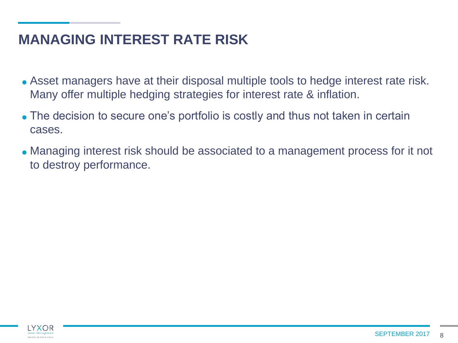#### **MANAGING INTEREST RATE RISK**

- Asset managers have at their disposal multiple tools to hedge interest rate risk. Many offer multiple hedging strategies for interest rate & inflation.
- The decision to secure one's portfolio is costly and thus not taken in certain cases.
- Managing interest risk should be associated to a management process for it not to destroy performance.

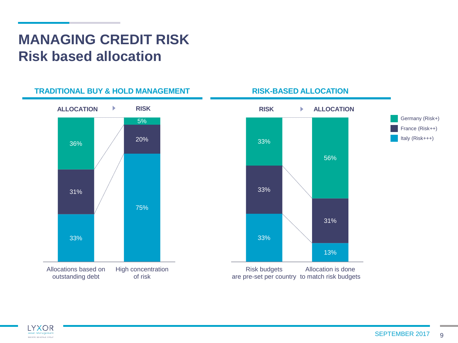#### **MANAGING CREDIT RISK Risk based allocation**





are pre-set per country to match risk budgets

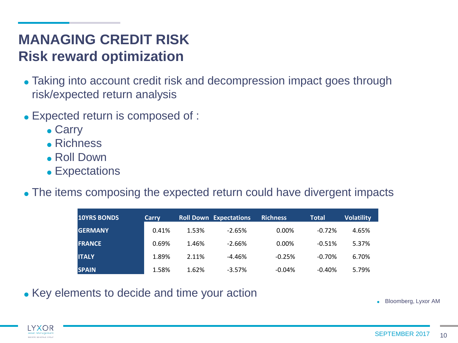#### **MANAGING CREDIT RISK Risk reward optimization**

- Taking into account credit risk and decompression impact goes through risk/expected return analysis
- Expected return is composed of :
	- Carry
	- Richness
	- Roll Down
	- Expectations
- The items composing the expected return could have divergent impacts

| <b>10YRS BONDS</b> | Carry |       | <b>Roll Down Expectations</b> | <b>Richness</b> | <b>Total</b> | <b>Volatility</b> |
|--------------------|-------|-------|-------------------------------|-----------------|--------------|-------------------|
| <b>GERMANY</b>     | 0.41% | 1.53% | $-2.65%$                      | 0.00%           | $-0.72%$     | 4.65%             |
| <b>FRANCE</b>      | 0.69% | 1.46% | $-2.66%$                      | 0.00%           | $-0.51%$     | 5.37%             |
| <b>ITALY</b>       | 1.89% | 2.11% | $-4.46%$                      | $-0.25%$        | $-0.70%$     | 6.70%             |
| <b>SPAIN</b>       | 1.58% | 1.62% | $-3.57%$                      | $-0.04%$        | $-0.40%$     | 5.79%             |

• Key elements to decide and time your action

Bloomberg, Lyxor AM

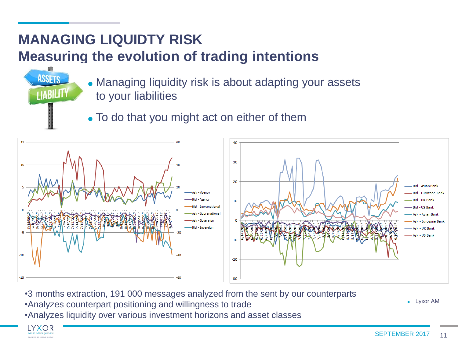#### **MANAGING LIQUIDTY RISK Measuring the evolution of trading intentions**



To do that you might act on either of them



- •3 months extraction, 191 000 messages analyzed from the sent by our counterparts
- •Analyzes counterpart positioning and willingness to trade
- •Analyzes liquidity over various investment horizons and asset classes

Lyxor AM



**ASSETS** 

**LIABILITY**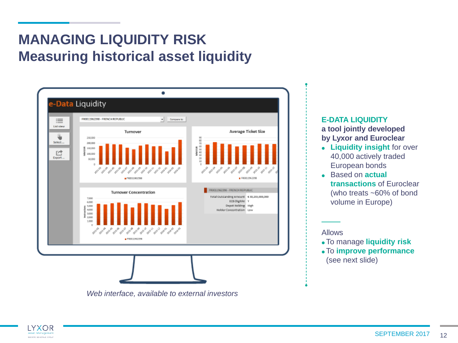### **MANAGING LIQUIDITY RISK Measuring historical asset liquidity**



#### **E-DATA LIQUIDITY a tool jointly developed by Lyxor and Euroclear**

- **Liquidity insight** for over 40,000 actively traded European bonds
- Based on **actual transactions** of Euroclear (who treats ~60% of bond volume in Europe)

Allows

- To manage **liquidity risk**
- To **improve performance**  (see next slide)

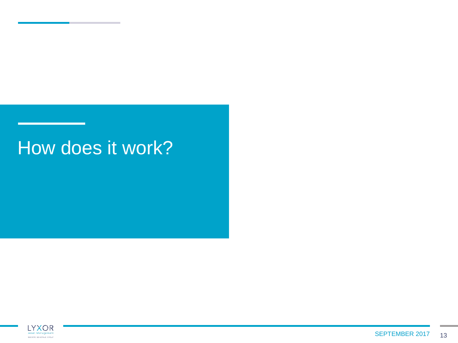## How does it work?

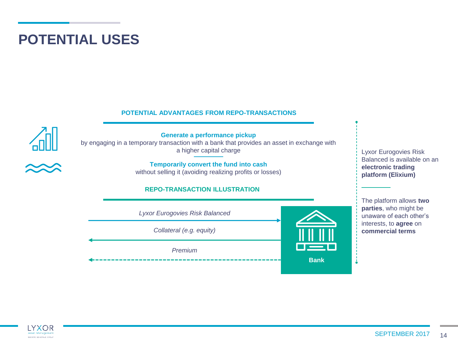#### **POTENTIAL USES**

#### **POTENTIAL ADVANTAGES FROM REPO-TRANSACTIONS**



**Generate a performance pickup**  by engaging in a temporary transaction with a bank that provides an asset in exchange with a higher capital charge

> **Temporarily convert the fund into cash** without selling it (avoiding realizing profits or losses)

#### **REPO-TRANSACTION ILLUSTRATION**



Lyxor Eurogovies Risk Balanced is available on an **electronic trading platform (Elixium)**

The platform allows **two parties**, who might be unaware of each other's interests, to **agree** on **commercial terms**

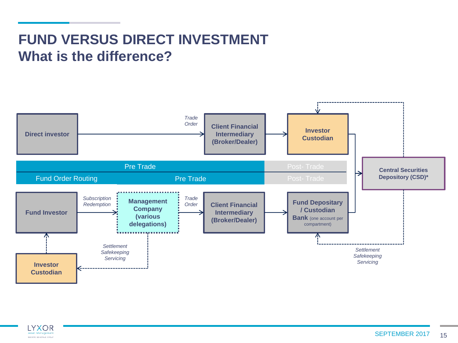### **FUND VERSUS DIRECT INVESTMENT What is the difference?**



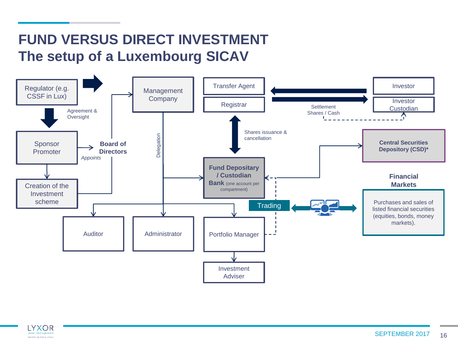### **FUND VERSUS DIRECT INVESTMENT The setup of a Luxembourg SICAV**



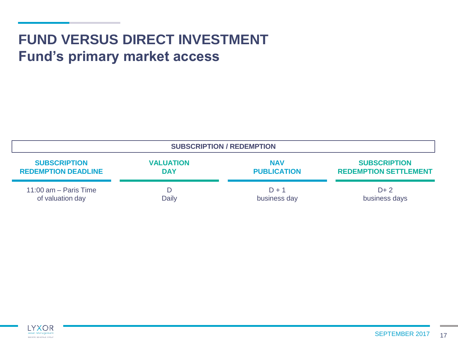### **FUND VERSUS DIRECT INVESTMENT Fund's primary market access**

| <b>SUBSCRIPTION / REDEMPTION</b> |                  |                    |                              |  |  |  |  |  |
|----------------------------------|------------------|--------------------|------------------------------|--|--|--|--|--|
| <b>SUBSCRIPTION</b>              | <b>VALUATION</b> | <b>NAV</b>         | <b>SUBSCRIPTION</b>          |  |  |  |  |  |
| <b>REDEMPTION DEADLINE</b>       | <b>DAY</b>       | <b>PUBLICATION</b> | <b>REDEMPTION SETTLEMENT</b> |  |  |  |  |  |
| 11:00 $am - Paris$ Time          | D                | $D + 1$            | $D+2$                        |  |  |  |  |  |
| of valuation day                 | Daily            | business day       | business days                |  |  |  |  |  |

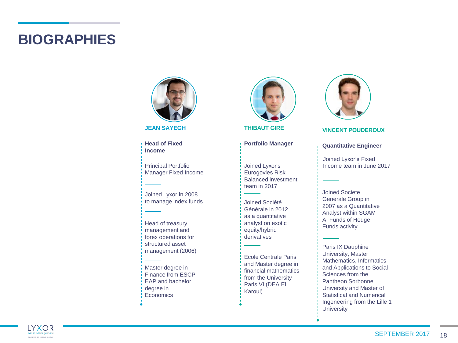#### **BIOGRAPHIES**



**JEAN SAYEGH**

**Head of Fixed Income**

Principal Portfolio Manager Fixed Income

Joined Lyxor in 2008 to manage index funds

Head of treasury management and forex operations for structured asset management (2006)

Master degree in Finance from ESCP-EAP and bachelor degree in **Economics** 



**THIBAUT GIRE**

#### **Portfolio Manager**

Joined Lyxor's Eurogovies Risk Balanced investment team in 2017

Joined Société Générale in 2012 as a quantitative analyst on exotic equity/hybrid derivatives

Ecole Centrale Paris and Master degree in financial mathematics from the University Paris VI (DEA El Karoui)



#### **VINCENT POUDEROUX**

#### **Quantitative Engineer**

Joined Lyxor's Fixed Income team in June 2017

Joined Societe Generale Group in 2007 as a Quantitative Analyst within SGAM AI Funds of Hedge Funds activity

Paris IX Dauphine University, Master Mathematics, Informatics and Applications to Social Sciences from the Pantheon Sorbonne University and Master of Statistical and Numerical Ingeneering from the Lille 1 **University** 

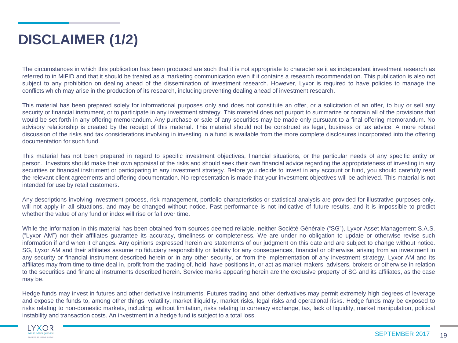### **DISCLAIMER (1/2)**

The circumstances in which this publication has been produced are such that it is not appropriate to characterise it as independent investment research as referred to in MiFID and that it should be treated as a marketing communication even if it contains a research recommendation. This publication is also not subject to any prohibition on dealing ahead of the dissemination of investment research. However, Lyxor is required to have policies to manage the conflicts which may arise in the production of its research, including preventing dealing ahead of investment research.

This material has been prepared solely for informational purposes only and does not constitute an offer, or a solicitation of an offer, to buy or sell any security or financial instrument, or to participate in any investment strategy. This material does not purport to summarize or contain all of the provisions that would be set forth in any offering memorandum. Any purchase or sale of any securities may be made only pursuant to a final offering memorandum. No advisory relationship is created by the receipt of this material. This material should not be construed as legal, business or tax advice. A more robust discussion of the risks and tax considerations involving in investing in a fund is available from the more complete disclosures incorporated into the offering documentation for such fund.

This material has not been prepared in regard to specific investment objectives, financial situations, or the particular needs of any specific entity or person. Investors should make their own appraisal of the risks and should seek their own financial advice regarding the appropriateness of investing in any securities or financial instrument or participating in any investment strategy. Before you decide to invest in any account or fund, you should carefully read the relevant client agreements and offering documentation. No representation is made that your investment objectives will be achieved. This material is not intended for use by retail customers.

Any descriptions involving investment process, risk management, portfolio characteristics or statistical analysis are provided for illustrative purposes only, will not apply in all situations, and may be changed without notice. Past performance is not indicative of future results, and it is impossible to predict whether the value of any fund or index will rise or fall over time.

While the information in this material has been obtained from sources deemed reliable, neither Société Générale ("SG"), Lyxor Asset Management S.A.S. ("Lyxor AM") nor their affiliates guarantee its accuracy, timeliness or completeness. We are under no obligation to update or otherwise revise such information if and when it changes. Any opinions expressed herein are statements of our judgment on this date and are subject to change without notice. SG, Lyxor AM and their affiliates assume no fiduciary responsibility or liability for any consequences, financial or otherwise, arising from an investment in any security or financial instrument described herein or in any other security, or from the implementation of any investment strategy. Lyxor AM and its affiliates may from time to time deal in, profit from the trading of, hold, have positions in, or act as market-makers, advisers, brokers or otherwise in relation to the securities and financial instruments described herein. Service marks appearing herein are the exclusive property of SG and its affiliates, as the case may be.

Hedge funds may invest in futures and other derivative instruments. Futures trading and other derivatives may permit extremely high degrees of leverage and expose the funds to, among other things, volatility, market illiquidity, market risks, legal risks and operational risks. Hedge funds may be exposed to risks relating to non-domestic markets, including, without limitation, risks relating to currency exchange, tax, lack of liquidity, market manipulation, political instability and transaction costs. An investment in a hedge fund is subject to a total loss.